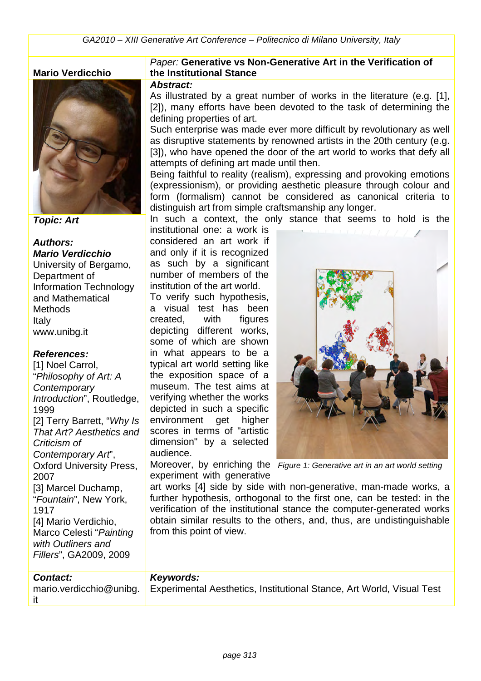#### **Mario Verdicchio**



*Topic: Art*

*Authors: Mario Verdicchio* University of Bergamo, Department of Information Technology and Mathematical **Methods** Italy www.unibg.it

#### *References:*

[1] Noel Carrol, "*Philosophy of Art: A Contemporary Introduction*", Routledge, 1999 [2] Terry Barrett, "*Why Is That Art? Aesthetics and Criticism of Contemporary Art*", Oxford University Press, 2007 [3] Marcel Duchamp, "*Fountain*", New York, 1917 [4] Mario Verdichio, Marco Celesti "*Painting with Outliners and Fillers*", GA2009, 2009

#### *Contact:*

it

mario.verdicchio@unibg. Experimental Aesthetics, Institutional Stance, Art World, Visual Test

#### *Paper:* **Generative vs Non-Generative Art in the Verification of the Institutional Stance**

#### *Abstract:*

As illustrated by a great number of works in the literature (e.g. [1], [2]), many efforts have been devoted to the task of determining the defining properties of art.

Such enterprise was made ever more difficult by revolutionary as well as disruptive statements by renowned artists in the 20th century (e.g. [3]), who have opened the door of the art world to works that defy all attempts of defining art made until then.

Being faithful to reality (realism), expressing and provoking emotions (expressionism), or providing aesthetic pleasure through colour and form (formalism) cannot be considered as canonical criteria to distinguish art from simple craftsmanship any longer.

In such a context, the only stance that seems to hold is the

institutional one: a work is considered an art work if and only if it is recognized as such by a significant number of members of the institution of the art world.

To verify such hypothesis, a visual test has been created, with figures depicting different works, some of which are shown in what appears to be a typical art world setting like the exposition space of a museum. The test aims at verifying whether the works depicted in such a specific environment get higher scores in terms of "artistic dimension" by a selected audience.

experiment with generative

Moreover, by enriching the *Figure 1: Generative art in an art world setting*

art works [4] side by side with non-generative, man-made works, a further hypothesis, orthogonal to the first one, can be tested: in the verification of the institutional stance the computer-generated works obtain similar results to the others, and, thus, are undistinguishable from this point of view.

### *Keywords:*

*page 313*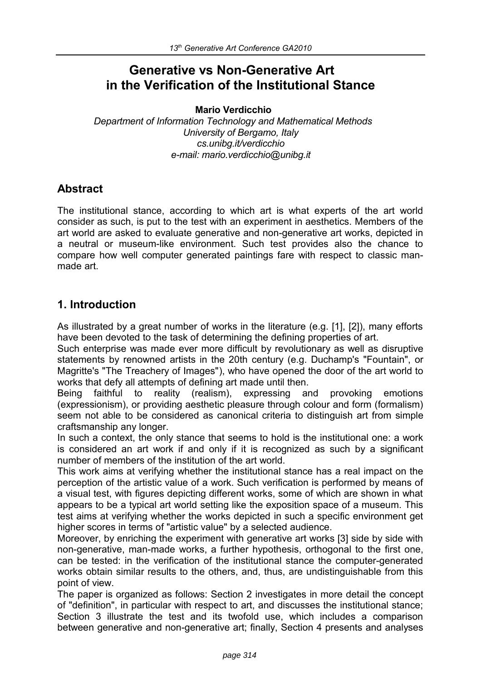# **Generative vs Non-Generative Art in the Verification of the Institutional Stance**

**Mario Verdicchio**

*Department of Information Technology and Mathematical Methods University of Bergamo, Italy cs.unibg.it/verdicchio e-mail: mario.verdicchio@unibg.it*

### **Abstract**

The institutional stance, according to which art is what experts of the art world consider as such, is put to the test with an experiment in aesthetics. Members of the art world are asked to evaluate generative and non-generative art works, depicted in a neutral or museum-like environment. Such test provides also the chance to compare how well computer generated paintings fare with respect to classic manmade art.

### **1. Introduction**

As illustrated by a great number of works in the literature (e.g. [1], [2]), many efforts have been devoted to the task of determining the defining properties of art.

Such enterprise was made ever more difficult by revolutionary as well as disruptive statements by renowned artists in the 20th century (e.g. Duchamp's "Fountain", or Magritte's "The Treachery of Images"), who have opened the door of the art world to works that defy all attempts of defining art made until then.

Being faithful to reality (realism), expressing and provoking emotions (expressionism), or providing aesthetic pleasure through colour and form (formalism) seem not able to be considered as canonical criteria to distinguish art from simple craftsmanship any longer.

In such a context, the only stance that seems to hold is the institutional one: a work is considered an art work if and only if it is recognized as such by a significant number of members of the institution of the art world.

This work aims at verifying whether the institutional stance has a real impact on the perception of the artistic value of a work. Such verification is performed by means of a visual test, with figures depicting different works, some of which are shown in what appears to be a typical art world setting like the exposition space of a museum. This test aims at verifying whether the works depicted in such a specific environment get higher scores in terms of "artistic value" by a selected audience.

Moreover, by enriching the experiment with generative art works [3] side by side with non-generative, man-made works, a further hypothesis, orthogonal to the first one, can be tested: in the verification of the institutional stance the computer-generated works obtain similar results to the others, and, thus, are undistinguishable from this point of view.

The paper is organized as follows: Section 2 investigates in more detail the concept of "definition", in particular with respect to art, and discusses the institutional stance; Section 3 illustrate the test and its twofold use, which includes a comparison between generative and non-generative art; finally, Section 4 presents and analyses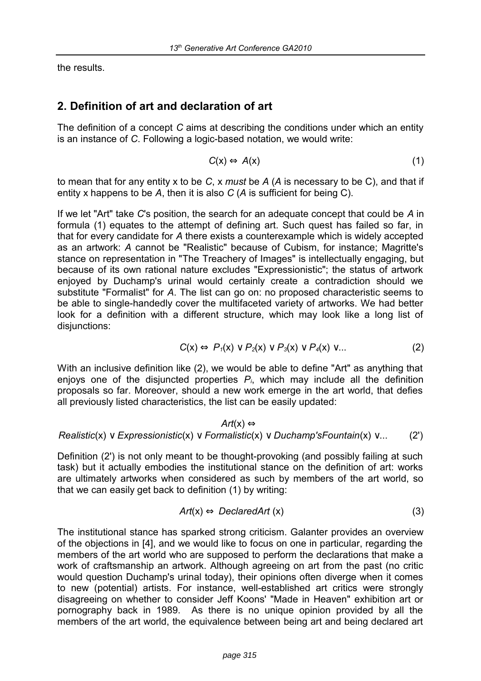the results.

# **2. Definition of art and declaration of art**

The definition of a concept *C* aims at describing the conditions under which an entity is an instance of *C*. Following a logic-based notation, we would write:

$$
C(x) \Leftrightarrow A(x) \tag{1}
$$

to mean that for any entity x to be *C*, x *must* be *A* (*A* is necessary to be C), and that if entity x happens to be *A*, then it is also *C* (*A* is sufficient for being C).

If we let "Art" take *C*'s position, the search for an adequate concept that could be *A* in formula (1) equates to the attempt of defining art. Such quest has failed so far, in that for every candidate for *A* there exists a counterexample which is widely accepted as an artwork: *A* cannot be "Realistic" because of Cubism, for instance; Magritte's stance on representation in "The Treachery of Images" is intellectually engaging, but because of its own rational nature excludes "Expressionistic"; the status of artwork enjoyed by Duchamp's urinal would certainly create a contradiction should we substitute "Formalist" for *A*. The list can go on: no proposed characteristic seems to be able to single-handedly cover the multifaceted variety of artworks. We had better look for a definition with a different structure, which may look like a long list of disjunctions:

$$
C(x) \Leftrightarrow P_1(x) \vee P_2(x) \vee P_3(x) \vee P_4(x) \vee \dots \tag{2}
$$

With an inclusive definition like (2), we would be able to define "Art" as anything that enjoys one of the disjuncted properties *Pi*, which may include all the definition proposals so far. Moreover, should a new work emerge in the art world, that defies all previously listed characteristics, the list can be easily updated:

$$
Art(x) \Leftrightarrow
$$
  
Realistic(x)  $\vee$  Expressionistic(x)  $\vee$  Formalistic(x)  $\vee$  Duchamp'sFoundation(x)  $\vee$ ... (2')

Definition (2') is not only meant to be thought-provoking (and possibly failing at such task) but it actually embodies the institutional stance on the definition of art: works are ultimately artworks when considered as such by members of the art world, so that we can easily get back to definition (1) by writing:

$$
Art(x) \Leftrightarrow DeclaredArt(x) \tag{3}
$$

The institutional stance has sparked strong criticism. Galanter provides an overview of the objections in [4], and we would like to focus on one in particular, regarding the members of the art world who are supposed to perform the declarations that make a work of craftsmanship an artwork. Although agreeing on art from the past (no critic would question Duchamp's urinal today), their opinions often diverge when it comes to new (potential) artists. For instance, well-established art critics were strongly disagreeing on whether to consider Jeff Koons' "Made in Heaven" exhibition art or pornography back in 1989. As there is no unique opinion provided by all the members of the art world, the equivalence between being art and being declared art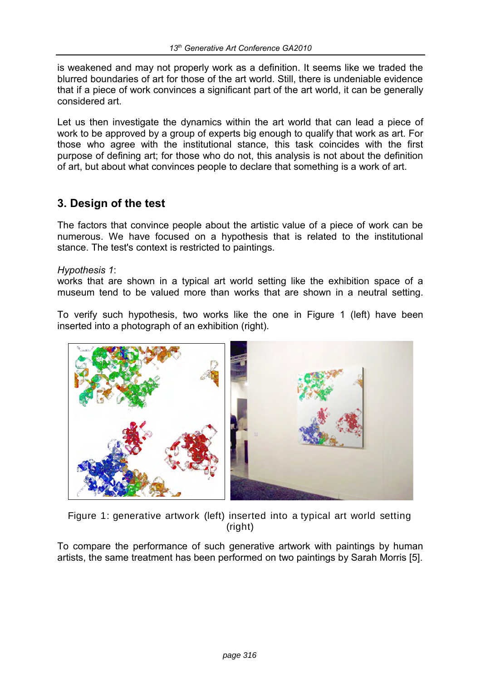is weakened and may not properly work as a definition. It seems like we traded the blurred boundaries of art for those of the art world. Still, there is undeniable evidence that if a piece of work convinces a significant part of the art world, it can be generally considered art.

Let us then investigate the dynamics within the art world that can lead a piece of work to be approved by a group of experts big enough to qualify that work as art. For those who agree with the institutional stance, this task coincides with the first purpose of defining art; for those who do not, this analysis is not about the definition of art, but about what convinces people to declare that something is a work of art.

### **3. Design of the test**

The factors that convince people about the artistic value of a piece of work can be numerous. We have focused on a hypothesis that is related to the institutional stance. The test's context is restricted to paintings.

#### *Hypothesis 1*:

works that are shown in a typical art world setting like the exhibition space of a museum tend to be valued more than works that are shown in a neutral setting.

To verify such hypothesis, two works like the one in Figure 1 (left) have been inserted into a photograph of an exhibition (right).



Figure 1: generative artwork (left) inserted into a typical art world setting (right)

To compare the performance of such generative artwork with paintings by human artists, the same treatment has been performed on two paintings by Sarah Morris [5].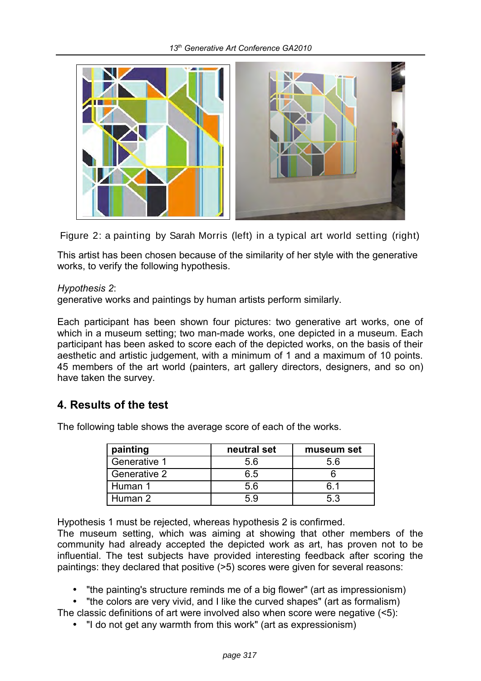

Figure 2: a painting by Sarah Morris (left) in a typical art world setting (right)

This artist has been chosen because of the similarity of her style with the generative works, to verify the following hypothesis.

#### *Hypothesis 2*:

generative works and paintings by human artists perform similarly.

Each participant has been shown four pictures: two generative art works, one of which in a museum setting; two man-made works, one depicted in a museum. Each participant has been asked to score each of the depicted works, on the basis of their aesthetic and artistic judgement, with a minimum of 1 and a maximum of 10 points. 45 members of the art world (painters, art gallery directors, designers, and so on) have taken the survey.

### **4. Results of the test**

The following table shows the average score of each of the works.

| painting     | neutral set | museum set |
|--------------|-------------|------------|
| Generative 1 | 5.6         | 5.6        |
| Generative 2 | 6.5         |            |
| Human 1      | 56          | .61        |
| Human 2      | 59          | 53         |

Hypothesis 1 must be rejected, whereas hypothesis 2 is confirmed.

The museum setting, which was aiming at showing that other members of the community had already accepted the depicted work as art, has proven not to be influential. The test subjects have provided interesting feedback after scoring the paintings: they declared that positive (>5) scores were given for several reasons:

- "the painting's structure reminds me of a big flower" (art as impressionism)
- "the colors are very vivid, and I like the curved shapes" (art as formalism)
- The classic definitions of art were involved also when score were negative (<5):
	- "I do not get any warmth from this work" (art as expressionism)